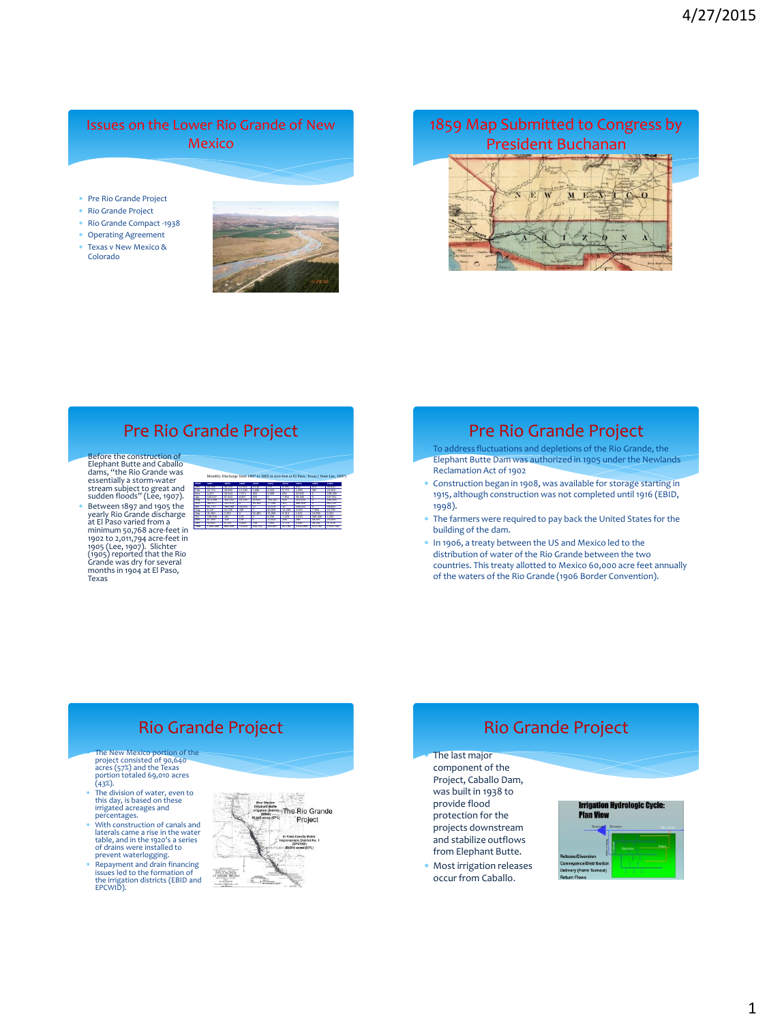## Issues on the Lower Rio Grande of New Mexico

#### Pre Rio Grande Project

- Rio Grande Project
- Rio Grande Compact -1938
- Operating Agreement
- Texas v New Mexico & Colorado



# 1859 Map Submitted to Congress by President Buchanan



# Pre Rio Grande Project

 Before the construction of Elephant Butte and Caballo dams, "the Rio Grande was essentially a storm-water stream subject to great and sudden floods" (Lee, 1907). \* Between 1897 and 1905 the<br>yearly Rio Grande discharge<br>at El Paso varied from a<br>minimum 50,768 acre-feet in<br>minimum 50,768 acre-feet in<br>1902 (1.2017). Slichter<br>(1905) reported that the Rio<br>Grande was dry for several<br>month

| Mor | 1897    | 1898  | 1899   | 1900    | 1901     | 1902         | 1903   | 1904   | 1905          |
|-----|---------|-------|--------|---------|----------|--------------|--------|--------|---------------|
|     |         |       |        |         | $^{27}$  | ъ            | 615    | co.    | 35,920        |
|     | 10/274  | w     |        |         | 4.500    |              | 1.289  | -287   | 103207        |
|     | 4.427   | Cake  | יכות י | 46C     | $-1.000$ | w            | 22,600 | го     | 169,499       |
|     | 409.533 |       |        | ×       |          | 7.904        |        | го     | 197,911       |
|     |         |       |        |         |          |              |        |        | <b>CAS GO</b> |
|     |         |       |        |         |          |              |        | п      | \$51.547      |
|     | \$1.770 |       |        | -70     | 19 C     |              |        | - 0    | 58,900        |
|     | 8.119   |       | 430    | $\circ$ | uw       | 100<br>14    | 4934   |        | 10.705        |
|     | 44.950  | 2.262 | Ω      | 16,493  | 21.000   | $-24.5$<br>٠ | 1.021  |        | 3.322         |
|     |         |       | 4P     |         |          |              | 2.022  |        | 4.000         |
|     | \$7,359 | 119   | 119    | ю       | 12,913   |              | 2001   |        | 25,450        |
|     | 41.812  | 5.718 | 2.828  | 738     | 7,993    | 1.775        | 2.440  | 38.182 | 27.478        |

Year 1,360,360 669,298 73,503 160,751 363,967 50,768 1,032,844 472,781 2,011,794

# Pre Rio Grande Project

- To address fluctuations and depletions of the Rio Grande, the Elephant Butte Dam was authorized in 1905 under the Newlands Reclamation Act of 1902
- Construction began in 1908, was available for storage starting in 1915, although construction was not completed until 1916 (EBID, 1998).
- The farmers were required to pay back the United States for the building of the dam.
- In 1906, a treaty between the US and Mexico led to the distribution of water of the Rio Grande between the two countries. This treaty allotted to Mexico 60,000 acre feet annually of the waters of the Rio Grande (1906 Border Convention).

# Rio Grande Project

- The New Mexico portion of the<br>project consisted of 90,640<br>acres (57%) and the Texas<br>portion totaled 69,010 acres<br>(43%).<br>\* The division of water, even to
- this day, is based on these irrigated acreages and percentages. With construction of canals and
- laterals came a rise in the water table, and in the 1920's a series of drains were installed to prevent waterlogging.
- Repayment and drain financing issues led to the formation of the irrigation districts (EBID and EPCWID).





component of the Project, Caballo Dam, was built in 1938 to provide flood protection for the projects downstream and stabilize outflows from Elephant Butte.

 Most irrigation releases occur from Caballo.

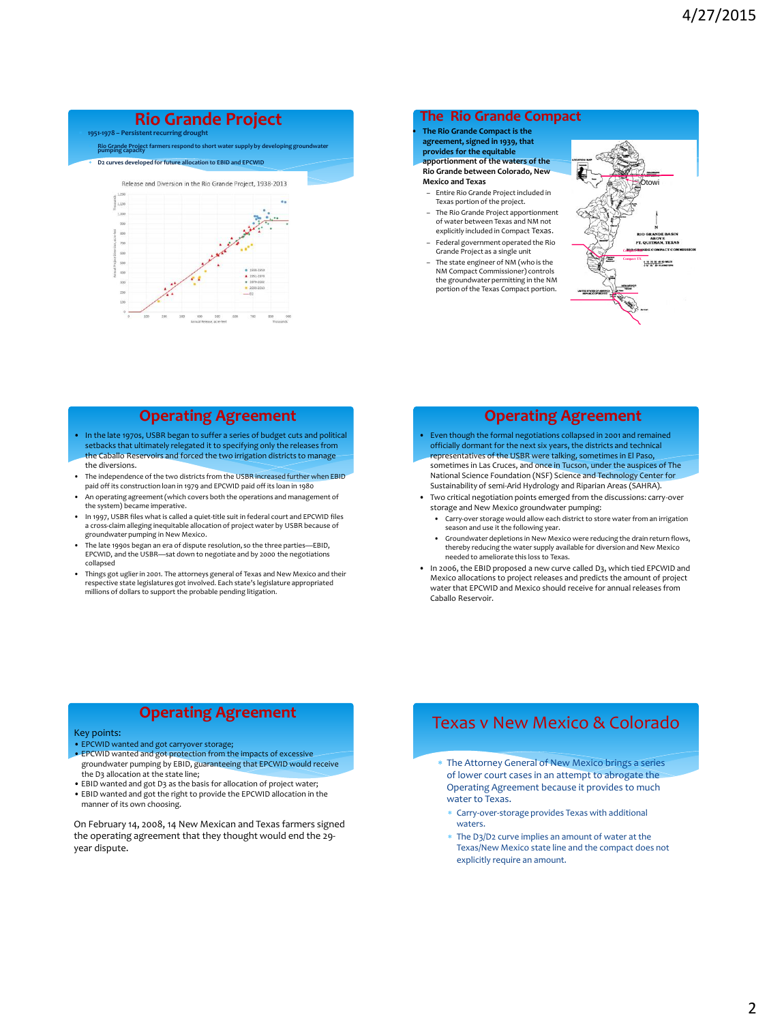### **Rio Grande Project**

**1951-1978 – Persistent recurring drought**

**Rio Grande Project fa**<br>pumping capacity



### **Operating Agreement**

- In the late 1970s, USBR began to suffer a series of budget cuts and political setbacks that ultimately relegated it to specifying only the releases from the Caballo Reservoirs and forced the two irrigation districts to manage the diversions.
- The independence of the two districts from the USBR increased further when EBID paid off its construction loan in 1979 and EPCWID paid off its loan in 1980
- An operating agreement (which covers both the operations and management of the system) became imperative.
- In 1997, USBR files what is called a quiet-title suit in federal court and EPCWID files a cross-claim alleging inequitable allocation of project water by USBR because of groundwater pumping in New Mexico.
- The late 1990s began an era of dispute resolution, so the three parties—EBID, EPCWID, and the USBR—sat down to negotiate and by 2000 the negotiations collapsed
- Things got uglier in 2001. The attorneys general of Texas and New Mexico and their respective state legislatures got involved. Each state's legislature appropriated millions of dollars to support the probable pending litigation.

### **The Rio Grande Compact**

• **The Rio Grande Compact is the agreement, signed in 1939, that** 

**provides for the equitable** 

**apportionment of the waters of the Rio Grande between Colorado, New** 

- **Mexico and Texas**
- Entire Rio Grande Project included in Texas portion of the project. – The Rio Grande Project apportionment
- of water between Texas and NM not explicitly included in Compact Texas. – Federal government operated the Rio
- Grande Project as a single unit – The state engineer of NM (who is the NM Compact Commissioner) controls the groundwater permitting in the NM portion of the Texas Compact portion.



### **Operating Agreement**

- Even though the formal negotiations collapsed in 2001 and remained officially dormant for the next six years, the districts and technical representatives of the USBR were talking, sometimes in El Paso, sometimes in Las Cruces, and once in Tucson, under the auspices of The National Science Foundation (NSF) Science and Technology Center for Sustainability of semi-Arid Hydrology and Riparian Areas (SAHRA).
- Two critical negotiation points emerged from the discussions: carry-over storage and New Mexico groundwater pumping:
	- Carry-over storage would allow each district to store water from an irrigation season and use it the following year.
	- Groundwater depletions in New Mexico were reducing the drain return flows, thereby reducing the water supply available for diversion and New Mexico needed to ameliorate this loss to Texas.
- In 2006, the EBID proposed a new curve called D3, which tied EPCWID and Mexico allocations to project releases and predicts the amount of project water that EPCWID and Mexico should receive for annual releases from Caballo Reservoir.

### **Operating Agreement**

#### Key points:

- 
- EPCWID wanted and got carryover storage; EPCWID wanted and got protection from the impacts of excessive groundwater pumping by EBID, guaranteeing that EPCWID would receive the D3 allocation at the state line;
- EBID wanted and got D3 as the basis for allocation of project water; • EBID wanted and got the right to provide the EPCWID allocation in the
- manner of its own choosing.

On February 14, 2008, 14 New Mexican and Texas farmers signed the operating agreement that they thought would end the 29 year dispute.

# Texas v New Mexico & Colorado

- The Attorney General of New Mexico brings a series of lower court cases in an attempt to abrogate the Operating Agreement because it provides to much water to Texas.
	- Carry-over-storage provides Texas with additional waters.
	- The D3/D2 curve implies an amount of water at the Texas/New Mexico state line and the compact does not explicitly require an amount.